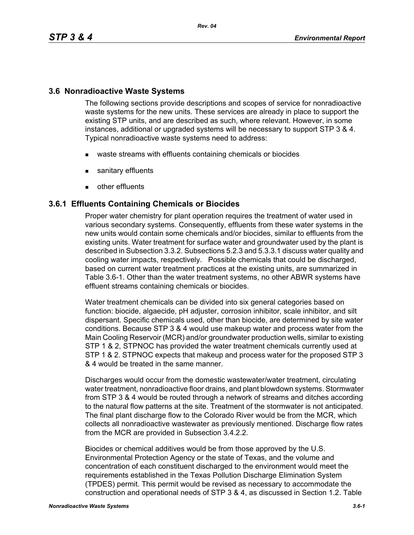### **3.6 Nonradioactive Waste Systems**

The following sections provide descriptions and scopes of service for nonradioactive waste systems for the new units. These services are already in place to support the existing STP units, and are described as such, where relevant. However, in some instances, additional or upgraded systems will be necessary to support STP 3 & 4. Typical nonradioactive waste systems need to address:

- waste streams with effluents containing chemicals or biocides
- **sanitary effluents**
- **other effluents**

### **3.6.1 Effluents Containing Chemicals or Biocides**

Proper water chemistry for plant operation requires the treatment of water used in various secondary systems. Consequently, effluents from these water systems in the new units would contain some chemicals and/or biocides, similar to effluents from the existing units. Water treatment for surface water and groundwater used by the plant is described in Subsection 3.3.2. Subsections 5.2.3 and 5.3.3.1 discuss water quality and cooling water impacts, respectively. Possible chemicals that could be discharged, based on current water treatment practices at the existing units, are summarized in Table 3.6-1. Other than the water treatment systems, no other ABWR systems have effluent streams containing chemicals or biocides.

Water treatment chemicals can be divided into six general categories based on function: biocide, algaecide, pH adjuster, corrosion inhibitor, scale inhibitor, and silt dispersant. Specific chemicals used, other than biocide, are determined by site water conditions. Because STP 3 & 4 would use makeup water and process water from the Main Cooling Reservoir (MCR) and/or groundwater production wells, similar to existing STP 1 & 2, STPNOC has provided the water treatment chemicals currently used at STP 1 & 2. STPNOC expects that makeup and process water for the proposed STP 3 & 4 would be treated in the same manner.

Discharges would occur from the domestic wastewater/water treatment, circulating water treatment, nonradioactive floor drains, and plant blowdown systems. Stormwater from STP 3 & 4 would be routed through a network of streams and ditches according to the natural flow patterns at the site. Treatment of the stormwater is not anticipated. The final plant discharge flow to the Colorado River would be from the MCR, which collects all nonradioactive wastewater as previously mentioned. Discharge flow rates from the MCR are provided in Subsection 3.4.2.2.

Biocides or chemical additives would be from those approved by the U.S. Environmental Protection Agency or the state of Texas, and the volume and concentration of each constituent discharged to the environment would meet the requirements established in the Texas Pollution Discharge Elimination System (TPDES) permit. This permit would be revised as necessary to accommodate the construction and operational needs of STP 3 & 4, as discussed in Section 1.2. Table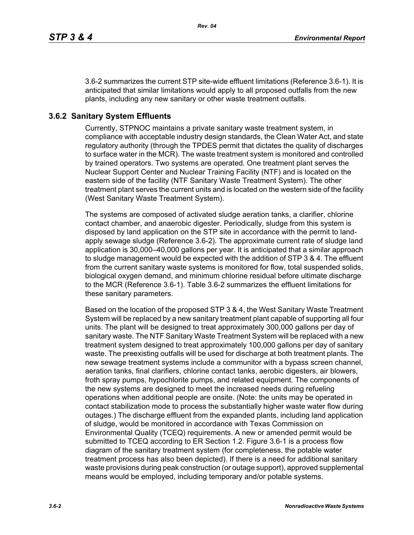3.6-2 summarizes the current STP site-wide effluent limitations (Reference 3.6-1). It is anticipated that similar limitations would apply to all proposed outfalls from the new plants, including any new sanitary or other waste treatment outfalls.

# **3.6.2 Sanitary System Effluents**

Currently, STPNOC maintains a private sanitary waste treatment system, in compliance with acceptable industry design standards, the Clean Water Act, and state regulatory authority (through the TPDES permit that dictates the quality of discharges to surface water in the MCR). The waste treatment system is monitored and controlled by trained operators. Two systems are operated. One treatment plant serves the Nuclear Support Center and Nuclear Training Facility (NTF) and is located on the eastern side of the facility (NTF Sanitary Waste Treatment System). The other treatment plant serves the current units and is located on the western side of the facility (West Sanitary Waste Treatment System).

The systems are composed of activated sludge aeration tanks, a clarifier, chlorine contact chamber, and anaerobic digester. Periodically, sludge from this system is disposed by land application on the STP site in accordance with the permit to landapply sewage sludge (Reference 3.6-2). The approximate current rate of sludge land application is 30,000–40,000 gallons per year. It is anticipated that a similar approach to sludge management would be expected with the addition of STP 3 & 4. The effluent from the current sanitary waste systems is monitored for flow, total suspended solids, biological oxygen demand, and minimum chlorine residual before ultimate discharge to the MCR (Reference 3.6-1). Table 3.6-2 summarizes the effluent limitations for these sanitary parameters.

Based on the location of the proposed STP 3 & 4, the West Sanitary Waste Treatment System will be replaced by a new sanitary treatment plant capable of supporting all four units. The plant will be designed to treat approximately 300,000 gallons per day of sanitary waste. The NTF Sanitary Waste Treatment System will be replaced with a new treatment system designed to treat approximately 100,000 gallons per day of sanitary waste. The preexisting outfalls will be used for discharge at both treatment plants. The new sewage treatment systems include a communitor with a bypass screen channel, aeration tanks, final clarifiers, chlorine contact tanks, aerobic digesters, air blowers, froth spray pumps, hypochlorite pumps, and related equipment. The components of the new systems are designed to meet the increased needs during refueling operations when additional people are onsite. (Note: the units may be operated in contact stabilization mode to process the substantially higher waste water flow during outages.) The discharge effluent from the expanded plants, including land application of sludge, would be monitored in accordance with Texas Commission on Environmental Quality (TCEQ) requirements. A new or amended permit would be submitted to TCEQ according to ER Section 1.2. Figure 3.6-1 is a process flow diagram of the sanitary treatment system (for completeness, the potable water treatment process has also been depicted). If there is a need for additional sanitary waste provisions during peak construction (or outage support), approved supplemental means would be employed, including temporary and/or potable systems.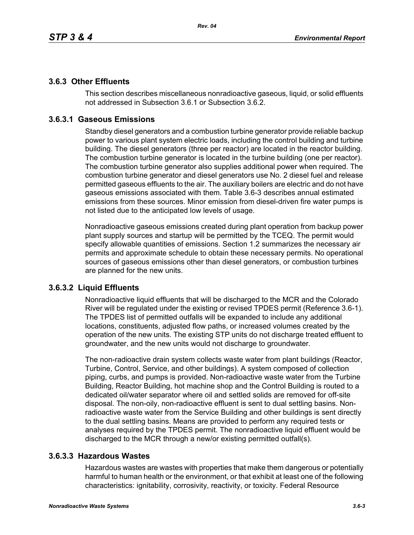## **3.6.3 Other Effluents**

This section describes miscellaneous nonradioactive gaseous, liquid, or solid effluents not addressed in Subsection 3.6.1 or Subsection 3.6.2.

## **3.6.3.1 Gaseous Emissions**

Standby diesel generators and a combustion turbine generator provide reliable backup power to various plant system electric loads, including the control building and turbine building. The diesel generators (three per reactor) are located in the reactor building. The combustion turbine generator is located in the turbine building (one per reactor). The combustion turbine generator also supplies additional power when required. The combustion turbine generator and diesel generators use No. 2 diesel fuel and release permitted gaseous effluents to the air. The auxiliary boilers are electric and do not have gaseous emissions associated with them. Table 3.6-3 describes annual estimated emissions from these sources. Minor emission from diesel-driven fire water pumps is not listed due to the anticipated low levels of usage.

Nonradioactive gaseous emissions created during plant operation from backup power plant supply sources and startup will be permitted by the TCEQ. The permit would specify allowable quantities of emissions. Section 1.2 summarizes the necessary air permits and approximate schedule to obtain these necessary permits. No operational sources of gaseous emissions other than diesel generators, or combustion turbines are planned for the new units.

### **3.6.3.2 Liquid Effluents**

Nonradioactive liquid effluents that will be discharged to the MCR and the Colorado River will be regulated under the existing or revised TPDES permit (Reference 3.6-1). The TPDES list of permitted outfalls will be expanded to include any additional locations, constituents, adjusted flow paths, or increased volumes created by the operation of the new units. The existing STP units do not discharge treated effluent to groundwater, and the new units would not discharge to groundwater.

The non-radioactive drain system collects waste water from plant buildings (Reactor, Turbine, Control, Service, and other buildings). A system composed of collection piping, curbs, and pumps is provided. Non-radioactive waste water from the Turbine Building, Reactor Building, hot machine shop and the Control Building is routed to a dedicated oil/water separator where oil and settled solids are removed for off-site disposal. The non-oily, non-radioactive effluent is sent to dual settling basins. Nonradioactive waste water from the Service Building and other buildings is sent directly to the dual settling basins. Means are provided to perform any required tests or analyses required by the TPDES permit. The nonradioactive liquid effluent would be discharged to the MCR through a new/or existing permitted outfall(s).

## **3.6.3.3 Hazardous Wastes**

Hazardous wastes are wastes with properties that make them dangerous or potentially harmful to human health or the environment, or that exhibit at least one of the following characteristics: ignitability, corrosivity, reactivity, or toxicity. Federal Resource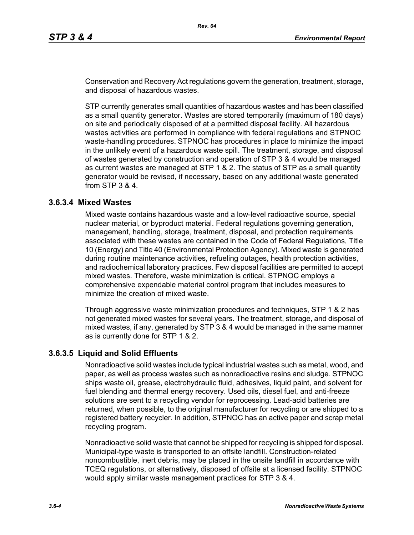Conservation and Recovery Act regulations govern the generation, treatment, storage, and disposal of hazardous wastes.

STP currently generates small quantities of hazardous wastes and has been classified as a small quantity generator. Wastes are stored temporarily (maximum of 180 days) on site and periodically disposed of at a permitted disposal facility. All hazardous wastes activities are performed in compliance with federal regulations and STPNOC waste-handling procedures. STPNOC has procedures in place to minimize the impact in the unlikely event of a hazardous waste spill. The treatment, storage, and disposal of wastes generated by construction and operation of STP 3 & 4 would be managed as current wastes are managed at STP 1 & 2. The status of STP as a small quantity generator would be revised, if necessary, based on any additional waste generated from STP 3 & 4.

### **3.6.3.4 Mixed Wastes**

Mixed waste contains hazardous waste and a low-level radioactive source, special nuclear material, or byproduct material. Federal regulations governing generation, management, handling, storage, treatment, disposal, and protection requirements associated with these wastes are contained in the Code of Federal Regulations, Title 10 (Energy) and Title 40 (Environmental Protection Agency). Mixed waste is generated during routine maintenance activities, refueling outages, health protection activities, and radiochemical laboratory practices. Few disposal facilities are permitted to accept mixed wastes. Therefore, waste minimization is critical. STPNOC employs a comprehensive expendable material control program that includes measures to minimize the creation of mixed waste.

Through aggressive waste minimization procedures and techniques, STP 1 & 2 has not generated mixed wastes for several years. The treatment, storage, and disposal of mixed wastes, if any, generated by STP 3 & 4 would be managed in the same manner as is currently done for STP 1 & 2.

### **3.6.3.5 Liquid and Solid Effluents**

Nonradioactive solid wastes include typical industrial wastes such as metal, wood, and paper, as well as process wastes such as nonradioactive resins and sludge. STPNOC ships waste oil, grease, electrohydraulic fluid, adhesives, liquid paint, and solvent for fuel blending and thermal energy recovery. Used oils, diesel fuel, and anti-freeze solutions are sent to a recycling vendor for reprocessing. Lead-acid batteries are returned, when possible, to the original manufacturer for recycling or are shipped to a registered battery recycler. In addition, STPNOC has an active paper and scrap metal recycling program.

Nonradioactive solid waste that cannot be shipped for recycling is shipped for disposal. Municipal-type waste is transported to an offsite landfill. Construction-related noncombustible, inert debris, may be placed in the onsite landfill in accordance with TCEQ regulations, or alternatively, disposed of offsite at a licensed facility. STPNOC would apply similar waste management practices for STP 3 & 4.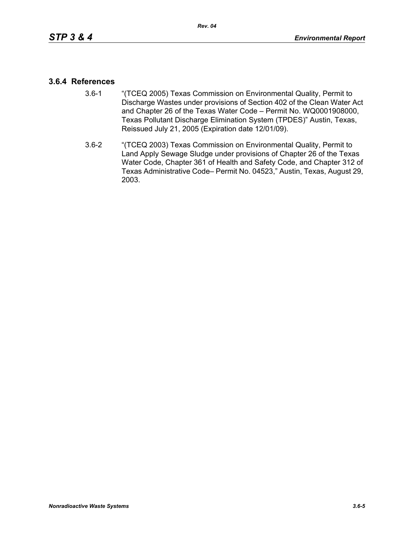### **3.6.4 References**

- 3.6-1 "(TCEQ 2005) Texas Commission on Environmental Quality, Permit to Discharge Wastes under provisions of Section 402 of the Clean Water Act and Chapter 26 of the Texas Water Code – Permit No. WQ0001908000, Texas Pollutant Discharge Elimination System (TPDES)" Austin, Texas, Reissued July 21, 2005 (Expiration date 12/01/09).
- 3.6-2 "(TCEQ 2003) Texas Commission on Environmental Quality, Permit to Land Apply Sewage Sludge under provisions of Chapter 26 of the Texas Water Code, Chapter 361 of Health and Safety Code, and Chapter 312 of Texas Administrative Code– Permit No. 04523," Austin, Texas, August 29, 2003.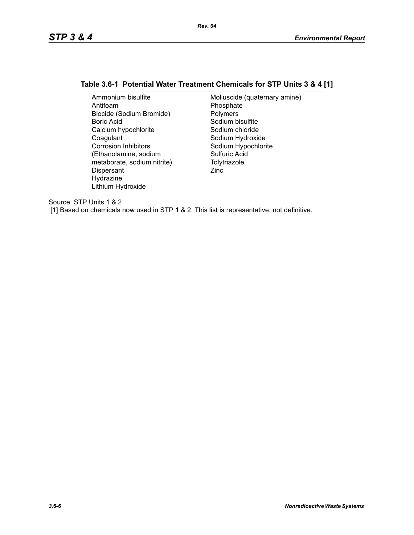## **Table 3.6-1 Potential Water Treatment Chemicals for STP Units 3 & 4 [1]**

| Ammonium bisulfite          | Molluscide (quaternary amine) |
|-----------------------------|-------------------------------|
| Antifoam                    | Phosphate                     |
| Biocide (Sodium Bromide)    | Polymers                      |
| Boric Acid                  | Sodium bisulfite              |
| Calcium hypochlorite        | Sodium chloride               |
| Coagulant                   | Sodium Hydroxide              |
| <b>Corrosion Inhibitors</b> | Sodium Hypochlorite           |
| (Ethanolamine, sodium       | Sulfuric Acid                 |
| metaborate, sodium nitrite) | Tolytriazole                  |
| Dispersant                  | Zinc                          |
| Hydrazine                   |                               |
| Lithium Hydroxide           |                               |

Source: STP Units 1 & 2

[1] Based on chemicals now used in STP 1 & 2. This list is representative, not definitive.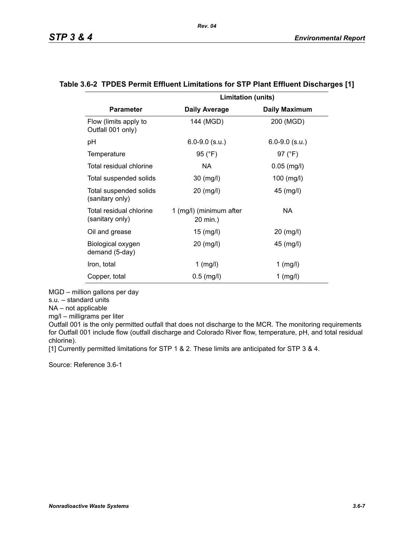|                                            | <b>Limitation (units)</b>           |                      |
|--------------------------------------------|-------------------------------------|----------------------|
| <b>Parameter</b>                           | <b>Daily Average</b>                | <b>Daily Maximum</b> |
| Flow (limits apply to<br>Outfall 001 only) | 144 (MGD)                           | 200 (MGD)            |
| рH                                         | $6.0 - 9.0$ (s.u.)                  | $6.0 - 9.0$ (s.u.)   |
| Temperature                                | 95 (°F)                             | 97 (°F)              |
| Total residual chlorine                    | NA.                                 | $0.05$ (mg/l)        |
| Total suspended solids                     | 30 (mg/l)                           | $100$ (mg/l)         |
| Total suspended solids<br>(sanitary only)  | 20 (mg/l)                           | 45 (mg/l)            |
| Total residual chlorine<br>(sanitary only) | 1 (mg/l) (minimum after<br>20 min.) | NA.                  |
| Oil and grease                             | $15 \ (mg/l)$                       | 20 (mg/l)            |
| Biological oxygen<br>demand (5-day)        | 20 (mg/l)                           | 45 (mg/l)            |
| Iron, total                                | $1$ (mg/l)                          | $1$ (mg/l)           |
| Copper, total                              | $0.5$ (mg/l)                        | $1$ (mg/l)           |

#### **Table 3.6-2 TPDES Permit Effluent Limitations for STP Plant Effluent Discharges [1]**

MGD – million gallons per day

s.u. – standard units

NA – not applicable

mg/l – milligrams per liter

Outfall 001 is the only permitted outfall that does not discharge to the MCR. The monitoring requirements for Outfall 001 include flow (outfall discharge and Colorado River flow, temperature, pH, and total residual chlorine).

[1] Currently permitted limitations for STP 1 & 2. These limits are anticipated for STP 3 & 4.

Source: Reference 3.6-1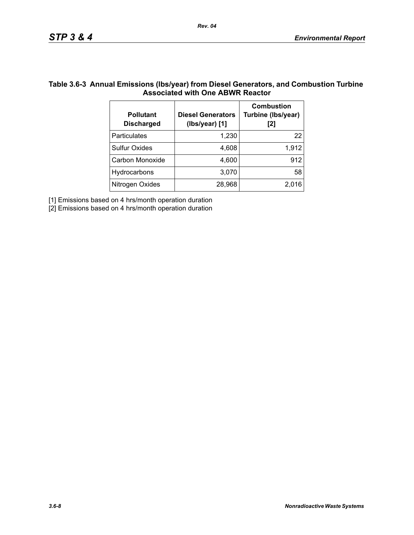### **Table 3.6-3 Annual Emissions (lbs/year) from Diesel Generators, and Combustion Turbine Associated with One ABWR Reactor**

| <b>Pollutant</b><br><b>Discharged</b> | <b>Diesel Generators</b><br>(Ibs/year) [1] | <b>Combustion</b><br>Turbine (Ibs/year)<br>[2] |
|---------------------------------------|--------------------------------------------|------------------------------------------------|
| Particulates                          | 1,230                                      | 22                                             |
| <b>Sulfur Oxides</b>                  | 4,608                                      | 1,912                                          |
| Carbon Monoxide                       | 4,600                                      | 912                                            |
| Hydrocarbons                          | 3,070                                      | 58                                             |
| Nitrogen Oxides                       | 28,968                                     | 2,016                                          |

[1] Emissions based on 4 hrs/month operation duration

[2] Emissions based on 4 hrs/month operation duration